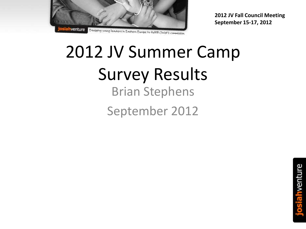

# 2012 JV Summer Camp Survey Results Brian Stephens September 2012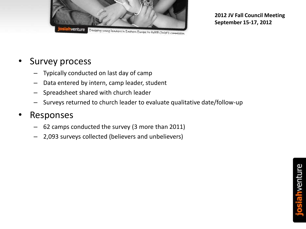

#### Equipping young leaders in Eastern Europe to Pulfill Christ's commission

### Survey process

- Typically conducted on last day of camp
- Data entered by intern, camp leader, student
- Spreadsheet shared with church leader
- Surveys returned to church leader to evaluate qualitative date/follow-up

### • Responses

- 62 camps conducted the survey (3 more than 2011)
- 2,093 surveys collected (believers and unbelievers)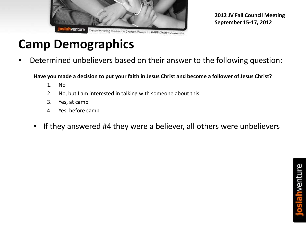

# **Camp Demographics**

• Determined unbelievers based on their answer to the following question:

**Have you made a decision to put your faith in Jesus Christ and become a follower of Jesus Christ?**

- 1. No
- 2. No, but I am interested in talking with someone about this
- 3. Yes, at camp
- 4. Yes, before camp
- If they answered #4 they were a believer, all others were unbelievers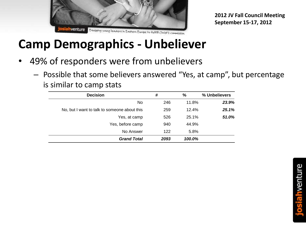

# **Camp Demographics - Unbeliever**

- 49% of responders were from unbelievers
	- Possible that some believers answered "Yes, at camp", but percentage is similar to camp stats

| <b>Decision</b>                              | #    | %      | % Unbelievers |
|----------------------------------------------|------|--------|---------------|
| No                                           | 246  | 11.8%  | 23.9%         |
| No, but I want to talk to someone about this | 259  | 12.4%  | 25.1%         |
| Yes, at camp                                 | 526  | 25.1%  | 51.0%         |
| Yes, before camp                             | 940  | 44.9%  |               |
| No Answer                                    | 122  | 5.8%   |               |
| <b>Grand Total</b>                           | 2093 | 100.0% |               |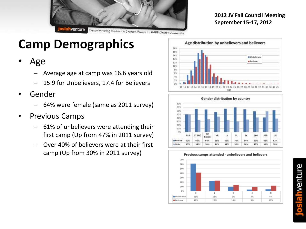

# **Camp Demographics**

- Age
	- Average age at camp was 16.6 years old
	- 15.9 for Unbelievers, 17.4 for Believers
- Gender
	- 64% were female (same as 2011 survey)
- Previous Camps
	- 61% of unbelievers were attending their first camp (Up from 47% in 2011 survey)
	- Over 40% of believers were at their first camp (Up from 30% in 2011 survey)





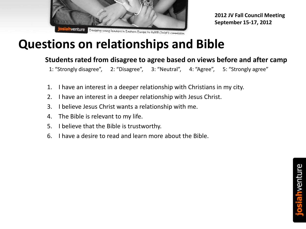

# **Questions on relationships and Bible**

### **Students rated from disagree to agree based on views before and after camp**

1: "Strongly disagree", 2: "Disagree", 3: "Neutral", 4: "Agree", 5: "Strongly agree"

- 1. I have an interest in a deeper relationship with Christians in my city.
- 2. I have an interest in a deeper relationship with Jesus Christ.
- 3. I believe Jesus Christ wants a relationship with me.
- 4. The Bible is relevant to my life.
- 5. I believe that the Bible is trustworthy.
- 6. I have a desire to read and learn more about the Bible.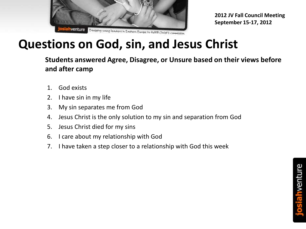

# **Questions on God, sin, and Jesus Christ**

**Students answered Agree, Disagree, or Unsure based on their views before and after camp**

- 1. God exists
- 2. I have sin in my life
- 3. My sin separates me from God
- 4. Jesus Christ is the only solution to my sin and separation from God
- 5. Jesus Christ died for my sins
- 6. I care about my relationship with God
- 7. I have taken a step closer to a relationship with God this week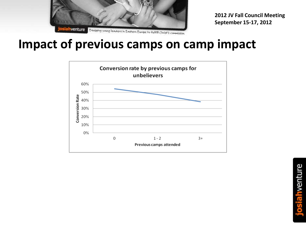

### **Impact of previous camps on camp impact**

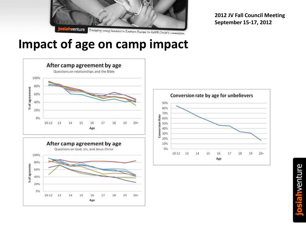

## **Impact of age on camp impact**





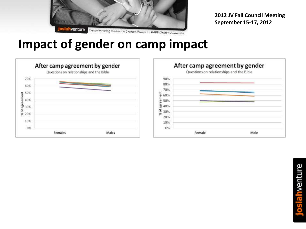

### **Impact of gender on camp impact**



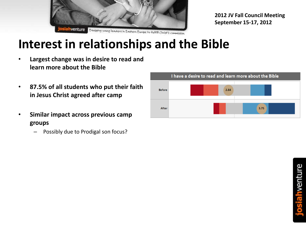

# **Interest in relationships and the Bible**

- **Largest change was in desire to read and learn more about the Bible**
- **87.5% of all students who put their faith in Jesus Christ agreed after camp**
- **Similar impact across previous camp groups**
	- Possibly due to Prodigal son focus?

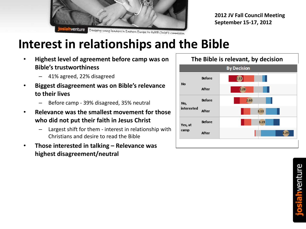

# **Interest in relationships and the Bible**

- **Highest level of agreement before camp was on Bible's trustworthiness**
	- 41% agreed, 22% disagreed
- **Biggest disagreement was on Bible's relevance to their lives**
	- Before camp 39% disagreed, 35% neutral
- **Relevance was the smallest movement for those who did not put their faith in Jesus Christ**
	- Largest shift for them interest in relationship with Christians and desire to read the Bible
- **Those interested in talking – Relevance was highest disagreement/neutral**

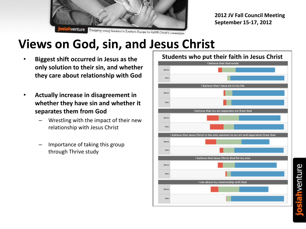

# **Views on God, sin, and Jesus Christ**

- **Biggest shift occurred in Jesus as the only solution to their sin, and whether they care about relationship with God**
- **Actually increase in disagreement in whether they have sin and whether it separates them from God**
	- Wrestling with the impact of their new relationship with Jesus Christ
	- Importance of taking this group through Thrive study

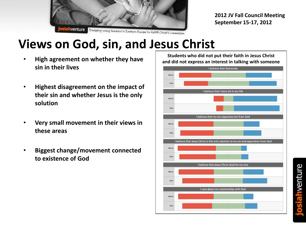

# **Views on God, sin, and Jesus Christ**

- **High agreement on whether they have sin in their lives**
- **Highest disagreement on the impact of their sin and whether Jesus is the only solution**
- **Very small movement in their views in these areas**
- **Biggest change/movement connected to existence of God**

**Students who did not put their faith in Jesus Christ and did not express an interest in talking with someone**

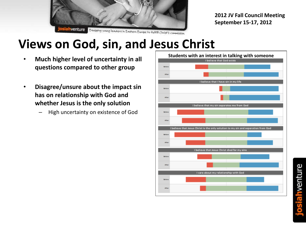

# **Views on God, sin, and Jesus Christ**

- **Much higher level of uncertainty in all questions compared to other group**
- **Disagree/unsure about the impact sin has on relationship with God and whether Jesus is the only solution**
	- High uncertainty on existence of God

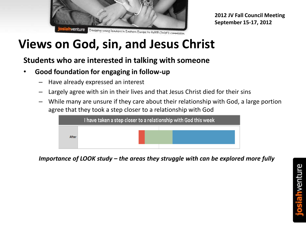

# **Views on God, sin, and Jesus Christ**

### **Students who are interested in talking with someone**

- **Good foundation for engaging in follow-up**
	- Have already expressed an interest
	- Largely agree with sin in their lives and that Jesus Christ died for their sins
	- While many are unsure if they care about their relationship with God, a large portion agree that they took a step closer to a relationship with God



*Importance of LOOK study – the areas they struggle with can be explored more fully*